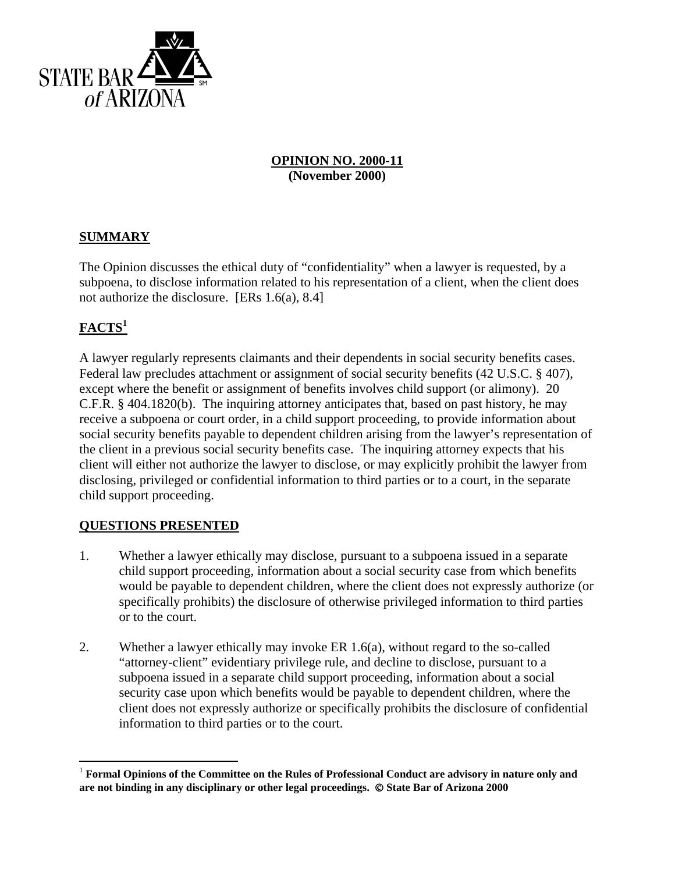

## **OPINION NO. 2000-11 (November 2000)**

## **SUMMARY**

The Opinion discusses the ethical duty of "confidentiality" when a lawyer is requested, by a subpoena, to disclose information related to his representation of a client, when the client does not authorize the disclosure. [ERs 1.6(a), 8.4]

# **FACTS<sup>1</sup>**

1

A lawyer regularly represents claimants and their dependents in social security benefits cases. Federal law precludes attachment or assignment of social security benefits (42 U.S.C. § 407), except where the benefit or assignment of benefits involves child support (or alimony). 20 C.F.R. § 404.1820(b). The inquiring attorney anticipates that, based on past history, he may receive a subpoena or court order, in a child support proceeding, to provide information about social security benefits payable to dependent children arising from the lawyer's representation of the client in a previous social security benefits case. The inquiring attorney expects that his client will either not authorize the lawyer to disclose, or may explicitly prohibit the lawyer from disclosing, privileged or confidential information to third parties or to a court, in the separate child support proceeding.

## **QUESTIONS PRESENTED**

- 1. Whether a lawyer ethically may disclose, pursuant to a subpoena issued in a separate child support proceeding, information about a social security case from which benefits would be payable to dependent children, where the client does not expressly authorize (or specifically prohibits) the disclosure of otherwise privileged information to third parties or to the court.
- 2. Whether a lawyer ethically may invoke ER 1.6(a), without regard to the so-called "attorney-client" evidentiary privilege rule, and decline to disclose, pursuant to a subpoena issued in a separate child support proceeding, information about a social security case upon which benefits would be payable to dependent children, where the client does not expressly authorize or specifically prohibits the disclosure of confidential information to third parties or to the court.

<sup>1</sup> **Formal Opinions of the Committee on the Rules of Professional Conduct are advisory in nature only and**  are not binding in any disciplinary or other legal proceedings.  $\circ$  State Bar of Arizona 2000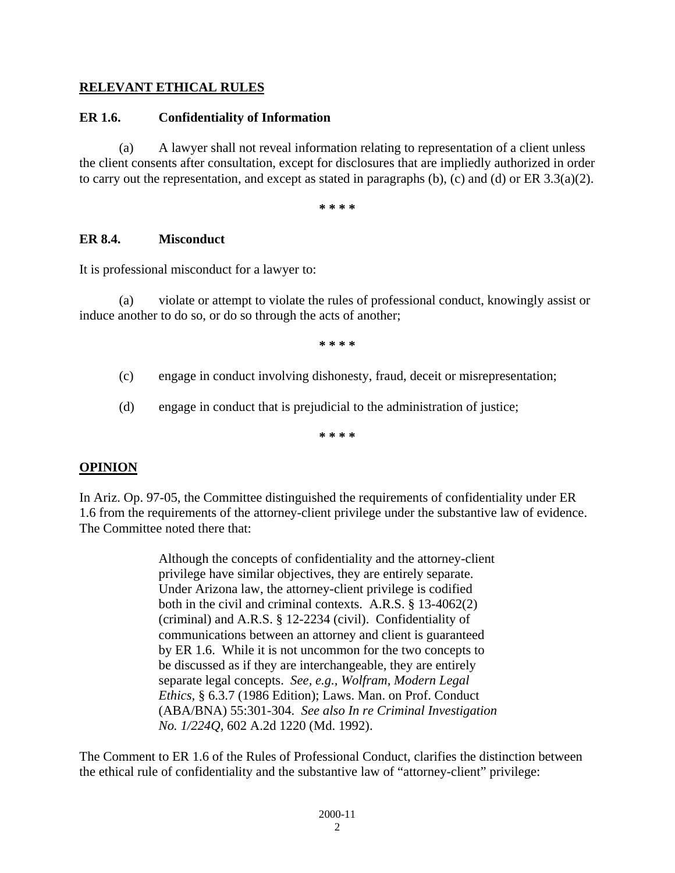## **RELEVANT ETHICAL RULES**

#### **ER 1.6. Confidentiality of Information**

 (a) A lawyer shall not reveal information relating to representation of a client unless the client consents after consultation, except for disclosures that are impliedly authorized in order to carry out the representation, and except as stated in paragraphs  $(b)$ ,  $(c)$  and  $(d)$  or ER 3.3(a)(2).

**\* \* \* \***

#### **ER 8.4. Misconduct**

It is professional misconduct for a lawyer to:

 (a) violate or attempt to violate the rules of professional conduct, knowingly assist or induce another to do so, or do so through the acts of another;

**\* \* \* \***

- (c) engage in conduct involving dishonesty, fraud, deceit or misrepresentation;
- (d) engage in conduct that is prejudicial to the administration of justice;

**\* \* \* \***

#### **OPINION**

In Ariz. Op. 97-05, the Committee distinguished the requirements of confidentiality under ER 1.6 from the requirements of the attorney-client privilege under the substantive law of evidence. The Committee noted there that:

> Although the concepts of confidentiality and the attorney-client privilege have similar objectives, they are entirely separate. Under Arizona law, the attorney-client privilege is codified both in the civil and criminal contexts. A.R.S. § 13-4062(2) (criminal) and A.R.S. § 12-2234 (civil). Confidentiality of communications between an attorney and client is guaranteed by ER 1.6. While it is not uncommon for the two concepts to be discussed as if they are interchangeable, they are entirely separate legal concepts. *See, e.g., Wolfram, Modern Legal Ethics,* § 6.3.7 (1986 Edition); Laws. Man. on Prof. Conduct (ABA/BNA) 55:301-304. *See also In re Criminal Investigation No. 1/224Q,* 602 A.2d 1220 (Md. 1992).

The Comment to ER 1.6 of the Rules of Professional Conduct, clarifies the distinction between the ethical rule of confidentiality and the substantive law of "attorney-client" privilege: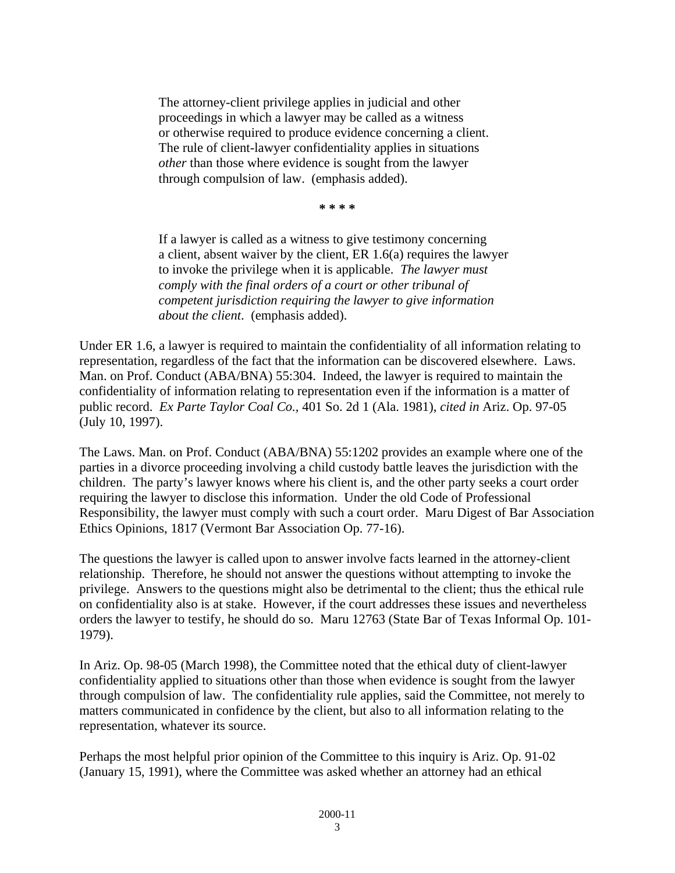The attorney-client privilege applies in judicial and other proceedings in which a lawyer may be called as a witness or otherwise required to produce evidence concerning a client. The rule of client-lawyer confidentiality applies in situations *other* than those where evidence is sought from the lawyer through compulsion of law. (emphasis added).

**\* \* \* \*** 

If a lawyer is called as a witness to give testimony concerning a client, absent waiver by the client, ER 1.6(a) requires the lawyer to invoke the privilege when it is applicable. *The lawyer must comply with the final orders of a court or other tribunal of competent jurisdiction requiring the lawyer to give information about the client*. (emphasis added).

Under ER 1.6, a lawyer is required to maintain the confidentiality of all information relating to representation, regardless of the fact that the information can be discovered elsewhere. Laws. Man. on Prof. Conduct (ABA/BNA) 55:304. Indeed, the lawyer is required to maintain the confidentiality of information relating to representation even if the information is a matter of public record. *Ex Parte Taylor Coal Co.,* 401 So. 2d 1 (Ala. 1981), *cited in* Ariz. Op. 97-05 (July 10, 1997).

The Laws. Man. on Prof. Conduct (ABA/BNA) 55:1202 provides an example where one of the parties in a divorce proceeding involving a child custody battle leaves the jurisdiction with the children. The party's lawyer knows where his client is, and the other party seeks a court order requiring the lawyer to disclose this information. Under the old Code of Professional Responsibility, the lawyer must comply with such a court order. Maru Digest of Bar Association Ethics Opinions, 1817 (Vermont Bar Association Op. 77-16).

The questions the lawyer is called upon to answer involve facts learned in the attorney-client relationship. Therefore, he should not answer the questions without attempting to invoke the privilege. Answers to the questions might also be detrimental to the client; thus the ethical rule on confidentiality also is at stake. However, if the court addresses these issues and nevertheless orders the lawyer to testify, he should do so. Maru 12763 (State Bar of Texas Informal Op. 101- 1979).

In Ariz. Op. 98-05 (March 1998), the Committee noted that the ethical duty of client-lawyer confidentiality applied to situations other than those when evidence is sought from the lawyer through compulsion of law. The confidentiality rule applies, said the Committee, not merely to matters communicated in confidence by the client, but also to all information relating to the representation, whatever its source.

Perhaps the most helpful prior opinion of the Committee to this inquiry is Ariz. Op. 91-02 (January 15, 1991), where the Committee was asked whether an attorney had an ethical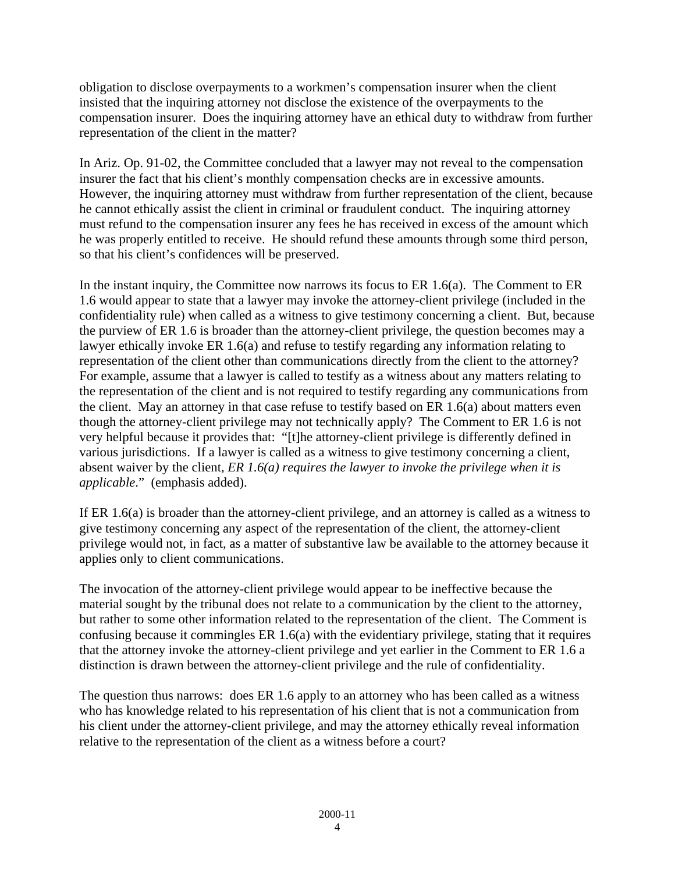obligation to disclose overpayments to a workmen's compensation insurer when the client insisted that the inquiring attorney not disclose the existence of the overpayments to the compensation insurer. Does the inquiring attorney have an ethical duty to withdraw from further representation of the client in the matter?

In Ariz. Op. 91-02, the Committee concluded that a lawyer may not reveal to the compensation insurer the fact that his client's monthly compensation checks are in excessive amounts. However, the inquiring attorney must withdraw from further representation of the client, because he cannot ethically assist the client in criminal or fraudulent conduct. The inquiring attorney must refund to the compensation insurer any fees he has received in excess of the amount which he was properly entitled to receive. He should refund these amounts through some third person, so that his client's confidences will be preserved.

In the instant inquiry, the Committee now narrows its focus to ER 1.6(a). The Comment to ER 1.6 would appear to state that a lawyer may invoke the attorney-client privilege (included in the confidentiality rule) when called as a witness to give testimony concerning a client. But, because the purview of ER 1.6 is broader than the attorney-client privilege, the question becomes may a lawyer ethically invoke ER 1.6(a) and refuse to testify regarding any information relating to representation of the client other than communications directly from the client to the attorney? For example, assume that a lawyer is called to testify as a witness about any matters relating to the representation of the client and is not required to testify regarding any communications from the client. May an attorney in that case refuse to testify based on ER 1.6(a) about matters even though the attorney-client privilege may not technically apply? The Comment to ER 1.6 is not very helpful because it provides that: "[t]he attorney-client privilege is differently defined in various jurisdictions. If a lawyer is called as a witness to give testimony concerning a client, absent waiver by the client, *ER 1.6(a) requires the lawyer to invoke the privilege when it is applicable*." (emphasis added).

If ER 1.6(a) is broader than the attorney-client privilege, and an attorney is called as a witness to give testimony concerning any aspect of the representation of the client, the attorney-client privilege would not, in fact, as a matter of substantive law be available to the attorney because it applies only to client communications.

The invocation of the attorney-client privilege would appear to be ineffective because the material sought by the tribunal does not relate to a communication by the client to the attorney, but rather to some other information related to the representation of the client. The Comment is confusing because it commingles ER 1.6(a) with the evidentiary privilege, stating that it requires that the attorney invoke the attorney-client privilege and yet earlier in the Comment to ER 1.6 a distinction is drawn between the attorney-client privilege and the rule of confidentiality.

The question thus narrows: does ER 1.6 apply to an attorney who has been called as a witness who has knowledge related to his representation of his client that is not a communication from his client under the attorney-client privilege, and may the attorney ethically reveal information relative to the representation of the client as a witness before a court?